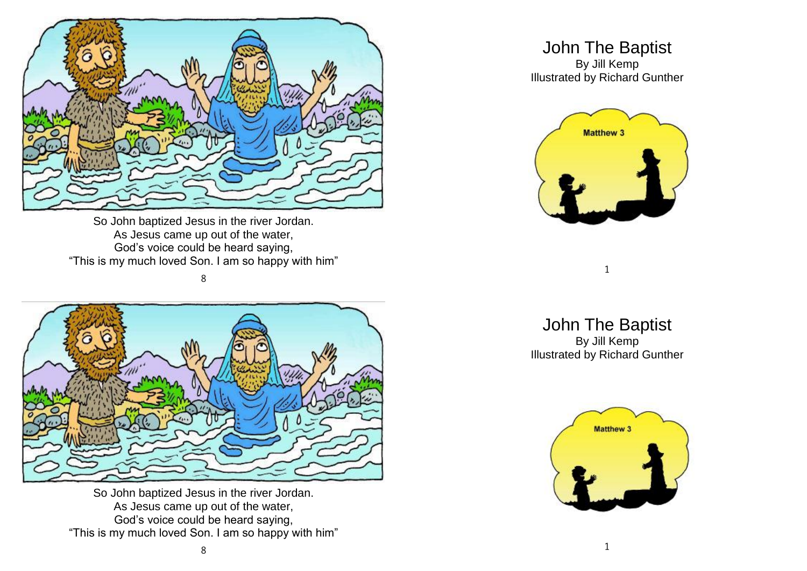

So John baptized Jesus in the river Jordan. As Jesus came up out of the water, God's voice could be heard saying, "This is my much loved Son. I am so happy with him"

8



So John baptized Jesus in the river Jordan. As Jesus came up out of the water, God's voice could be heard saying, "This is my much loved Son. I am so happy with him"

## John The Baptist

By Jill Kemp Illustrated by Richard Gunther



1

John The Baptist By Jill Kemp Illustrated by Richard Gunther

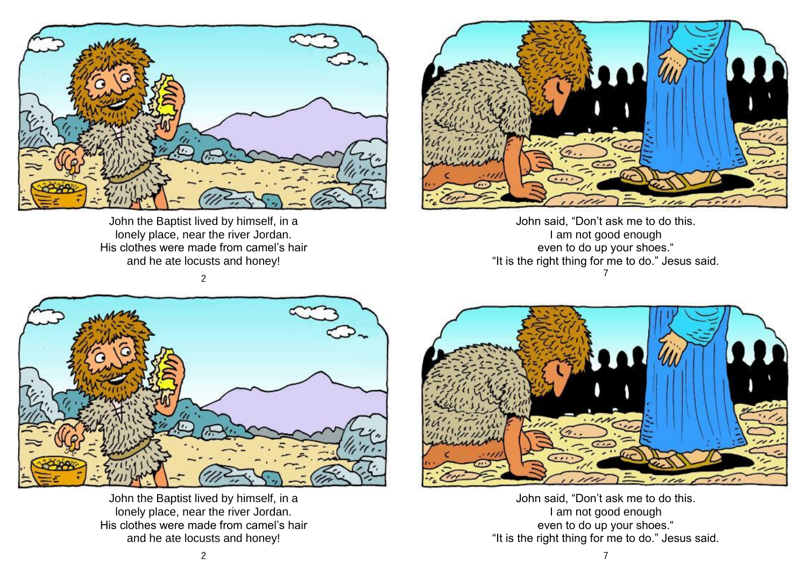

John the Baptist lived by himself, in a lonely place, near the river Jordan. His clothes were made from camel's hair and he ate locusts and honey!



John said, "Don't ask me to do this. I am not good enough even to do up your shoes." "It is the right thing for me to do." Jesus said. 7





John the Baptist lived by himself, in a lonely place, near the river Jordan. His clothes were made from camel's hair and he ate locusts and honey!



John said, "Don't ask me to do this. I am not good enough even to do up your shoes." "It is the right thing for me to do." Jesus said.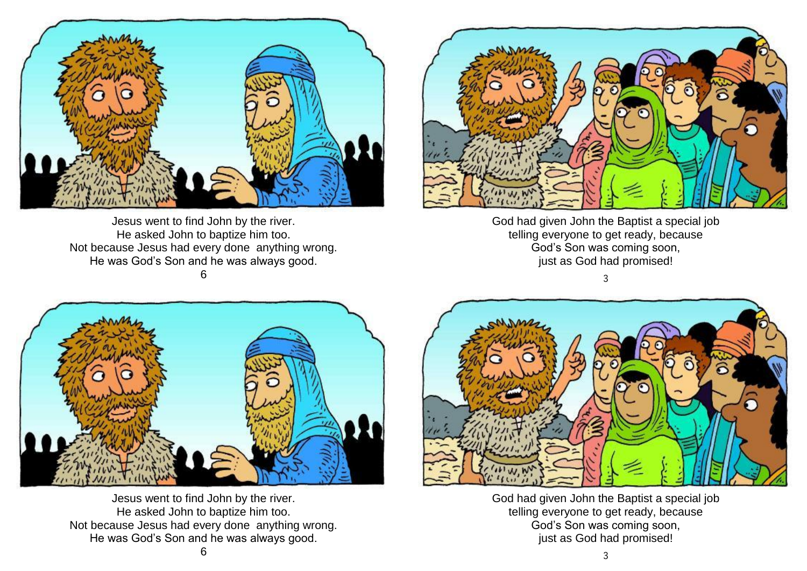

Jesus went to find John by the river. He asked John to baptize him too. Not because Jesus had every done anything wrong. He was God's Son and he was always good. 6



God had given John the Baptist a special job telling everyone to get ready, because God's Son was coming soon, just as God had promised!

3



Jesus went to find John by the river. He asked John to baptize him too. Not because Jesus had every done anything wrong. He was God's Son and he was always good.



God had given John the Baptist a special job telling everyone to get ready, because God's Son was coming soon, just as God had promised!